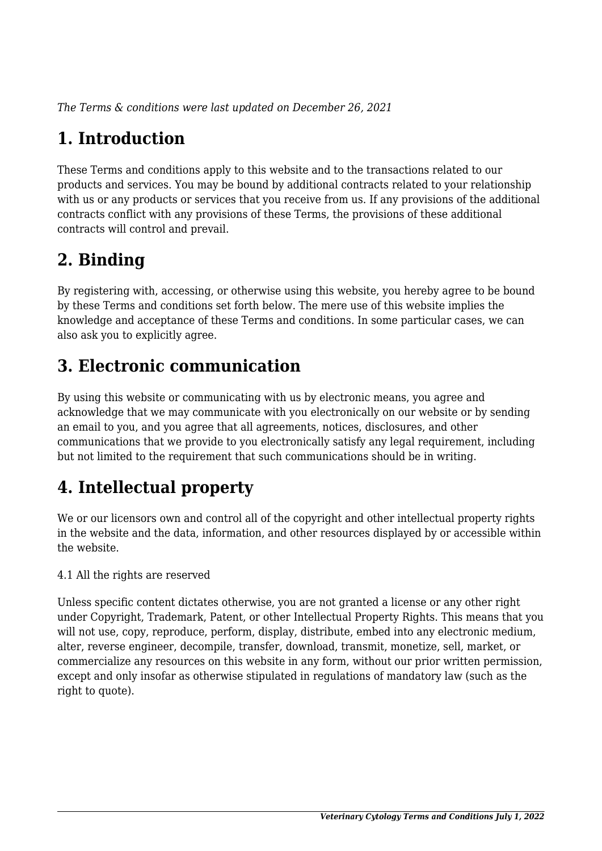*The Terms & conditions were last updated on December 26, 2021*

# **1. Introduction**

These Terms and conditions apply to this website and to the transactions related to our products and services. You may be bound by additional contracts related to your relationship with us or any products or services that you receive from us. If any provisions of the additional contracts conflict with any provisions of these Terms, the provisions of these additional contracts will control and prevail.

# **2. Binding**

By registering with, accessing, or otherwise using this website, you hereby agree to be bound by these Terms and conditions set forth below. The mere use of this website implies the knowledge and acceptance of these Terms and conditions. In some particular cases, we can also ask you to explicitly agree.

# **3. Electronic communication**

By using this website or communicating with us by electronic means, you agree and acknowledge that we may communicate with you electronically on our website or by sending an email to you, and you agree that all agreements, notices, disclosures, and other communications that we provide to you electronically satisfy any legal requirement, including but not limited to the requirement that such communications should be in writing.

# **4. Intellectual property**

We or our licensors own and control all of the copyright and other intellectual property rights in the website and the data, information, and other resources displayed by or accessible within the website.

4.1 All the rights are reserved

Unless specific content dictates otherwise, you are not granted a license or any other right under Copyright, Trademark, Patent, or other Intellectual Property Rights. This means that you will not use, copy, reproduce, perform, display, distribute, embed into any electronic medium, alter, reverse engineer, decompile, transfer, download, transmit, monetize, sell, market, or commercialize any resources on this website in any form, without our prior written permission, except and only insofar as otherwise stipulated in regulations of mandatory law (such as the right to quote).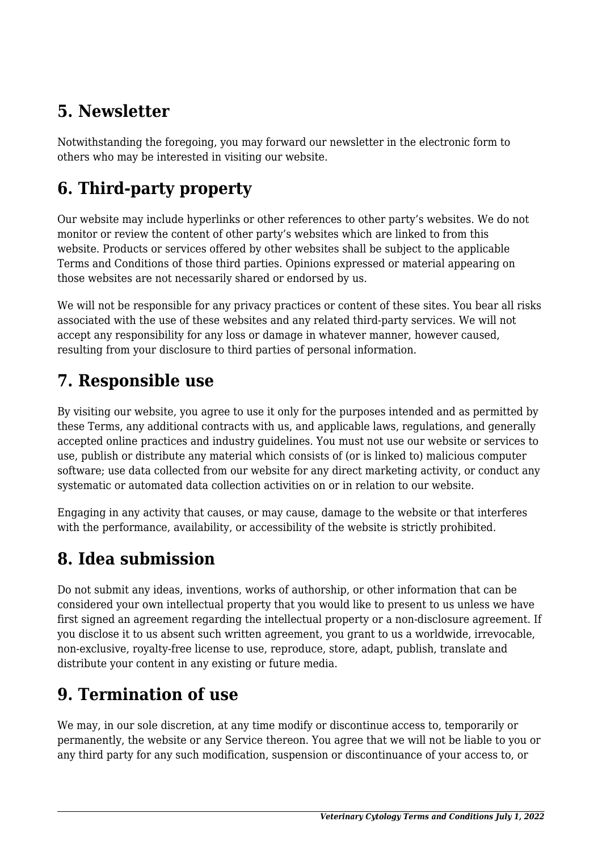# **5. Newsletter**

Notwithstanding the foregoing, you may forward our newsletter in the electronic form to others who may be interested in visiting our website.

# **6. Third-party property**

Our website may include hyperlinks or other references to other party's websites. We do not monitor or review the content of other party's websites which are linked to from this website. Products or services offered by other websites shall be subject to the applicable Terms and Conditions of those third parties. Opinions expressed or material appearing on those websites are not necessarily shared or endorsed by us.

We will not be responsible for any privacy practices or content of these sites. You bear all risks associated with the use of these websites and any related third-party services. We will not accept any responsibility for any loss or damage in whatever manner, however caused, resulting from your disclosure to third parties of personal information.

#### **7. Responsible use**

By visiting our website, you agree to use it only for the purposes intended and as permitted by these Terms, any additional contracts with us, and applicable laws, regulations, and generally accepted online practices and industry guidelines. You must not use our website or services to use, publish or distribute any material which consists of (or is linked to) malicious computer software; use data collected from our website for any direct marketing activity, or conduct any systematic or automated data collection activities on or in relation to our website.

Engaging in any activity that causes, or may cause, damage to the website or that interferes with the performance, availability, or accessibility of the website is strictly prohibited.

# **8. Idea submission**

Do not submit any ideas, inventions, works of authorship, or other information that can be considered your own intellectual property that you would like to present to us unless we have first signed an agreement regarding the intellectual property or a non-disclosure agreement. If you disclose it to us absent such written agreement, you grant to us a worldwide, irrevocable, non-exclusive, royalty-free license to use, reproduce, store, adapt, publish, translate and distribute your content in any existing or future media.

# **9. Termination of use**

We may, in our sole discretion, at any time modify or discontinue access to, temporarily or permanently, the website or any Service thereon. You agree that we will not be liable to you or any third party for any such modification, suspension or discontinuance of your access to, or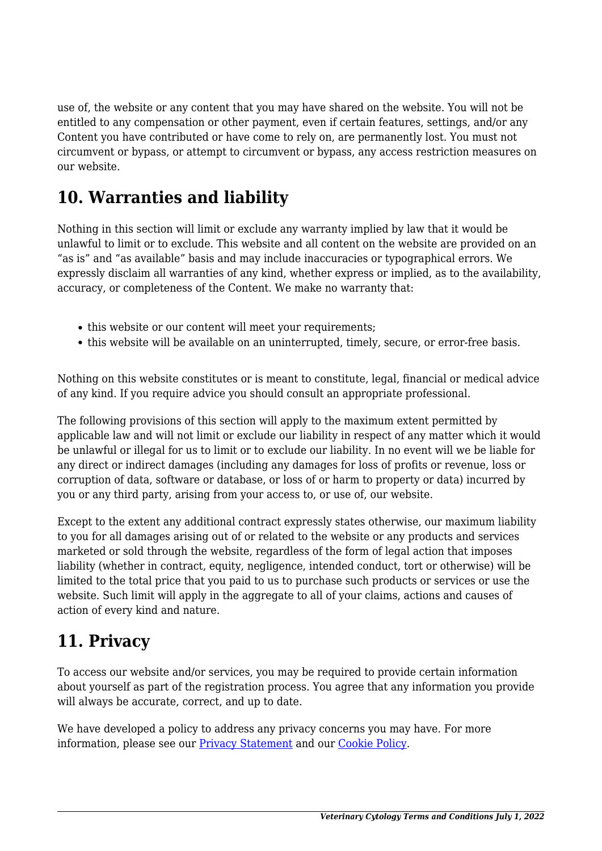use of, the website or any content that you may have shared on the website. You will not be entitled to any compensation or other payment, even if certain features, settings, and/or any Content you have contributed or have come to rely on, are permanently lost. You must not circumvent or bypass, or attempt to circumvent or bypass, any access restriction measures on our website.

### **10. Warranties and liability**

Nothing in this section will limit or exclude any warranty implied by law that it would be unlawful to limit or to exclude. This website and all content on the website are provided on an "as is" and "as available" basis and may include inaccuracies or typographical errors. We expressly disclaim all warranties of any kind, whether express or implied, as to the availability, accuracy, or completeness of the Content. We make no warranty that:

- this website or our content will meet your requirements;
- this website will be available on an uninterrupted, timely, secure, or error-free basis.

Nothing on this website constitutes or is meant to constitute, legal, financial or medical advice of any kind. If you require advice you should consult an appropriate professional.

The following provisions of this section will apply to the maximum extent permitted by applicable law and will not limit or exclude our liability in respect of any matter which it would be unlawful or illegal for us to limit or to exclude our liability. In no event will we be liable for any direct or indirect damages (including any damages for loss of profits or revenue, loss or corruption of data, software or database, or loss of or harm to property or data) incurred by you or any third party, arising from your access to, or use of, our website.

Except to the extent any additional contract expressly states otherwise, our maximum liability to you for all damages arising out of or related to the website or any products and services marketed or sold through the website, regardless of the form of legal action that imposes liability (whether in contract, equity, negligence, intended conduct, tort or otherwise) will be limited to the total price that you paid to us to purchase such products or services or use the website. Such limit will apply in the aggregate to all of your claims, actions and causes of action of every kind and nature.

#### **11. Privacy**

To access our website and/or services, you may be required to provide certain information about yourself as part of the registration process. You agree that any information you provide will always be accurate, correct, and up to date.

We have developed a policy to address any privacy concerns you may have. For more information, please see our **Privacy Statement** and our **[Cookie Policy](#page--1-0)**.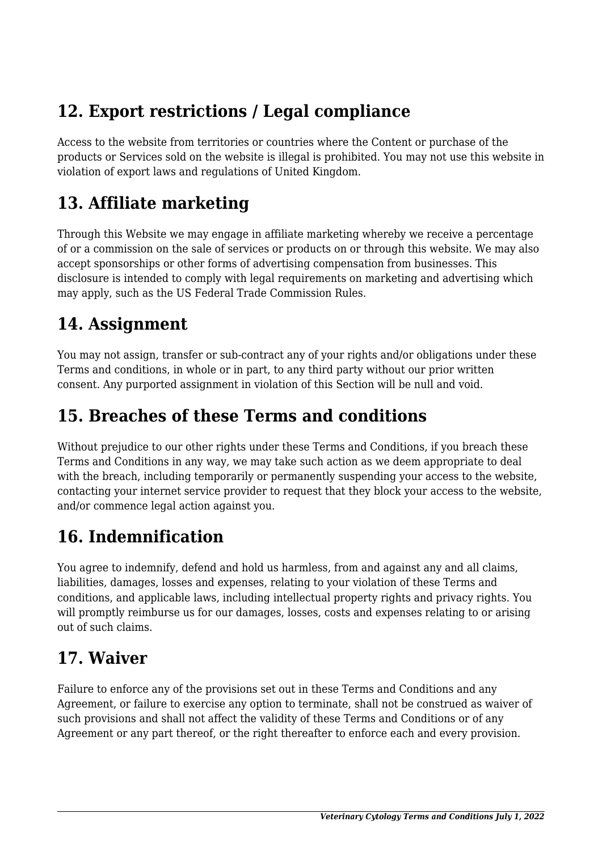# **12. Export restrictions / Legal compliance**

Access to the website from territories or countries where the Content or purchase of the products or Services sold on the website is illegal is prohibited. You may not use this website in violation of export laws and regulations of United Kingdom.

### **13. Affiliate marketing**

Through this Website we may engage in affiliate marketing whereby we receive a percentage of or a commission on the sale of services or products on or through this website. We may also accept sponsorships or other forms of advertising compensation from businesses. This disclosure is intended to comply with legal requirements on marketing and advertising which may apply, such as the US Federal Trade Commission Rules.

### **14. Assignment**

You may not assign, transfer or sub-contract any of your rights and/or obligations under these Terms and conditions, in whole or in part, to any third party without our prior written consent. Any purported assignment in violation of this Section will be null and void.

#### **15. Breaches of these Terms and conditions**

Without prejudice to our other rights under these Terms and Conditions, if you breach these Terms and Conditions in any way, we may take such action as we deem appropriate to deal with the breach, including temporarily or permanently suspending your access to the website, contacting your internet service provider to request that they block your access to the website, and/or commence legal action against you.

# **16. Indemnification**

You agree to indemnify, defend and hold us harmless, from and against any and all claims, liabilities, damages, losses and expenses, relating to your violation of these Terms and conditions, and applicable laws, including intellectual property rights and privacy rights. You will promptly reimburse us for our damages, losses, costs and expenses relating to or arising out of such claims.

#### **17. Waiver**

Failure to enforce any of the provisions set out in these Terms and Conditions and any Agreement, or failure to exercise any option to terminate, shall not be construed as waiver of such provisions and shall not affect the validity of these Terms and Conditions or of any Agreement or any part thereof, or the right thereafter to enforce each and every provision.